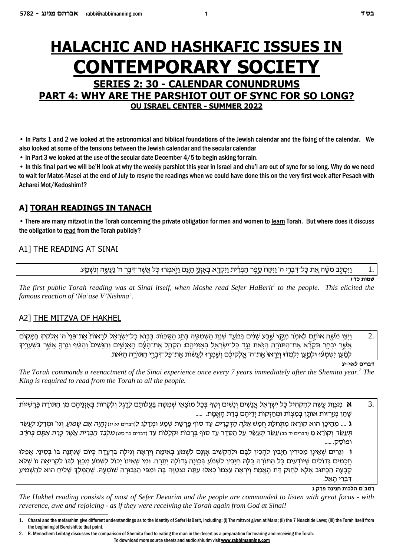# **HALACHIC AND HASHKAFIC ISSUES IN CONTEMPORARY SOCIETY SERIES 2: 30 - CALENDAR CONUNDRUMS PART 4: WHY ARE THE PARSHIOT OUT OF SYNC FOR SO LONG?**

**OU ISRAEL CENTER - SUMMER 2022** 

• In Parts 1 and 2 we looked at the astronomical and biblical foundations of the Jewish calendar and the fixing of the calendar. We also looked at some of the tensions between the Jewish calendar and the secular calendar

• In Part 3 we looked at the use of the secular date December 4/5 to begin asking for rain.

• In this final part we will be'H look at why the weekly parshiot this year in Israel and chu'l are out of sync for so long. Why do we need to wait for Matot-Masei at the end of July to resync the readings when we could have done this on the very first week after Pesach with Acharei Mot/Kedoshim!?

# A] TORAH READINGS IN TANACH

• There are many mitzvot in the Torah concerning the private obligation for men and women to learn Torah. But where does it discuss the obligation to read from the Torah publicly?

## A1] THE READING AT SINAI

וַיִּכְתֹּב מֹשֶׁה אֶת כַּל־דְּבְרֵי ה' וַיִּקַּח סֵפֶר הַבְּרִית וַיִּקְרֵא בְּאַזְנֵי הַעֵם וַיִּאמְרֹוּ כָּל אֲשֶׁר־דְּבֵר ה' נַעֲשֶׂה וְנִשְׁמֵַע.

שמות כדו

1.

The first public Torah reading was at Sinai itself, when Moshe read Sefer HaBerit<sup>1</sup> to the people. This elicited the famous reaction of 'Na'ase V'Nishma'.

# A2] THE MITZVA OF HAKHEL

וַיִּצֵו מֹשֶׁה אוֹתַם לֵאמֹר מִקֵּץ שֶׁבַע שַׁנִּים בִּמֹעֵד שְׁנַת הַשָּׁמִטַּה בְּחֲג הַסְּכָּוֹת: בְּבוֹא כַל־יִשְׂרַאֶל לֵרָאוֹת אֶת־פְּנֵי ה' אֱלֹקיד בַּמֵקוֹם  $\overline{2}$ . אֵשֶׁר יִבְחֵר תִּקְרָّא אֶת־הַתּוֹרָה הַזֹּאת נֵגֶד כַּל־יִשְׂרָאֵל בְּאַזְוֶיהֶם: הַקָּהֵל אֶת־הַעָּם הַאֲנַשִׁים וְהַנַּשִׁים וְהַטֵּׁף וְגֶרְךָ אֲשֶׁר בְּשָׁעֲרֵיךָ לְמַּעַן יִשְׁמְעו וּלְמֵעַן יִלְמְדֹוּ וְיֵרֵאוֹ אֶת־ה' אֱלִקִיכֶּם וְשֵׁמְרוּ לַעֲשׂוֹת אֶת־כַּל־דְּבְרֵי הַתּוֹרֶה הַזָּאת.

דברים לאוי-יג

The Torah commands a reenactment of the Sinai experience once every 7 years immediately after the Shemita year.<sup>2</sup> The King is required to read from the Torah to all the people.

3. א מִצְוַת עֵשֶׂה לְהַקְהִיל כַּל יִשְׂרָאֵל אֲנַשִׁים וְנַשִּׁים וְטַף בִּכַל מוֹצָאֵי שְׁמִטֶּה בַּעֲלוֹתַם לַרְגֶל ולִקְרוֹת בִּאַזְנֵיהֶם מִן הַתּוֹרָה פַּרְשִׁיּוֹת ֹשֶׁהֵן מְזַרְזוֹת אוֹתַן בְּמִצְוֹת וּמְחַזְּקוֹת יִדֵיהֵם בְּדַת הַאֱמֶת. .....

ג .... מֶהֵיכַן הוא קוֹרֵאיִ מְתַחְלַת חֲמַשׁ *אֱלֶה הַדְּבָרִים* עַד סוֹף פַּרַשַׁת שְׁמַע וּמְדַלֶג לווברים א גו) *וְהַיַּה אַם שַׁמוֹעַ* וְגוֹ' וּמִדַל*ְג לְעַש*ָּר תעשר וקורא מ ודברים יד כב) עשר תעשר על הסדר עד סוף ברכות וקללות עד ודברים כחיסט) *מלבד הברית אשר כרת אתם בחרב* ופוסק. .....

ו וגרים שאינן מכירין חיבין להכין לבם ולהקשיב אזנם לשמע באימה ויראה וגילה ברעדה כיום שנתנה בו בסיני. אפלו חכמים גדולים שיודעים כל התורה כלה חיביו לשמע בכונה גדולה יתרה. ומי שאינו יכול לשמע מכון לבו לקריאה זו שלא קבעה הכתוב אלא לחזק דת האמת ויראה עצמו כאלו עתה נצטוה בה ומפי הגבורה שומעה. שהמלד שליח הוא להשמיע דברי האל.

#### רמב"ם הלכות חגיגה פרק ג

The Hakhel reading consists of most of Sefer Devarim and the people are commanded to listen with great focus - with reverence, awe and rejoicing - as if they were receiving the Torah again from God at Sinai!

To download more source sheets and audio shiurim visit www.rabbimanning.com

Chazal and the mefarshim give different understandings as to the identity of Sefer HaBerit, including: (i) The mitzvot given at Mara; (ii) the 7 Noachide Laws; (iii) the Torah itself from  $\mathbf{1}$ the beginning of Bereishit to that point

R. Menachem Leibtag discusses the comparison of Shemita food to eating the man in the desert as a preparation for hearing and receiving the Torah.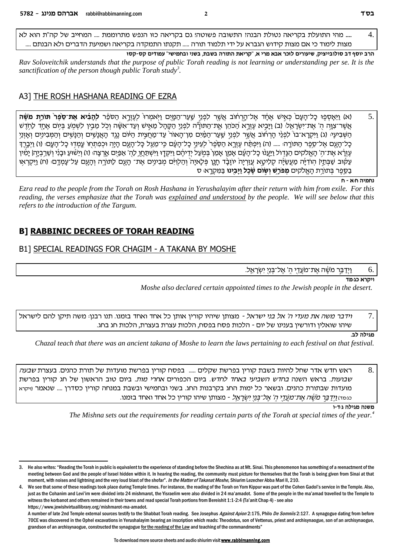.... מהי התועלת בקריאה נטולת הבנהי התשובה פשוטה؛ גם בקריאה כזו הנפש מתרוממת .... המחייב של קה"ת הוא לא  $\overline{4}$ . מצות לימוד כי אם מצות קידוש הגברא על ידי תלמוד תורה ..... תקנתו התמקדה בקריאה ושמיעת הדברים ולא הבנתם ....

הרב יוסף דב סולובייציק, שיעורים לזכר אבא מרי א, "קריאת התורה בשבת, בשני ובחמישי" עמודים קס-קסז Rav Soloveitchik understands that the purpose of public Torah reading is not learning or understanding per se. It is the sanctification of the person though public Torah study<sup>3</sup>.

### A3] THE ROSH HASHANA READING OF EZRA

(א) וַיֵּאָסְפָוּ כָל־הָעָם כְּאֵישׁ אֵחָד אֵל־הֲרָחוֹב אֲשֶׁר לִפְנֵי שַׁעַר־הַמָּיִם וַיְאמִרוּ לְעֵזְרֵא הַסֹּפֵר **לְהָבִיא אֲת־סֵפֵר תּוֹרַת מֹשֶׁה** 5. אֲשֶׁר־צְוֶה הָ' אֱת־יִשְׂרָאֱלּ: (ב) וַיָּבִיא עֵזְרֵא הַכֹּהֵן אֱת־הַתּוֹרָה לִפְנֵי הַקָּהָל מֲאֵישׁ וְעַד־אִשָּׂה וְכְל מֵבֶין לִשְׁמְעַ בִּיְוֹם אֱחֶד לַחְדֵּשׁ השביעי: (ג) ויקרא־בו לכני הרחוב אשר לפני שער־המים מן־האור עד־מחצית היום נגד האנשים והנשים והמבינים ואזני כַל־הַעָם אֱל־סֶפֶר הַתּוֹרֵהּ ..... (ה) וַיִּפְתַּח עֵזְרֵא הַסֶּפֶר לַעֶינֵי כַל־הַעָם כֵּי־מֶעַל כַּל־הַעָם הַיַּה וּכְפָתְחוֹ עַמְדוּ כַל־הַעֲם (ו) וַיִּבְרֵדְּ עֵזְרָׂא אֱת־הִ' הָאֱלֹקים הַנֶּדְוֹל וַיַּעֲנוֹ כָל־הָעָׁם אָמֵן אָמֵן בִּמְעַל יִדֵיהֵם וַיִּקְדָו וַיִּשְׁתַחַוֶ לַהְ' אַפְּיִם אֲרִצָה: (ז) וְיֵשִׁוּעַ וּבָנִי וְשֶׁרֵבְיָה| יַמְיון עַקּוּב שַׁבְּתַיִן הְוֹדִיָּה מַעֲשֵׂיָה קְלִיטָא עֲזַרְיָה יוֹזָבָד חָנֶן פְּלָאיָה וְהַלְוִיּם מְבִינִים אֶת־ הָעָם לַתּוֹרֶה וְהָעֶם עַל־עָמְדֶם: (ח) וַיִּקְרְאָוּ בספר בתורת האלקים **מפרש ושום שכל ויבינו** במקרא: ס

נחמיה ח:א - ח

Ezra read to the people from the Torah on Rosh Hashana in Yerushalayim after their return with him from exile. For this reading, the verses emphasize that the Torah was explained and understood by the people. We will see below that this refers to the introduction of the Targum.

## **B] RABBINIC DECREES OF TORAH READING**

### B1] SPECIAL READINGS FOR CHAGIM - A TAKANA BY MOSHE

וְיִדַבֵּר מֹשֶׁה אֱת־מֹעֲדֵי הִ' אֱל־בְנֵי יִשְׂרַאֱל. 6.

וי<del>קר</del>א כג<sub>'</sub>מד

Moshe also declared certain appointed times to the Jewish people in the desert.

ו*ידבר משה את מעדי ה' אל בני ישראל -* מצותן שיהיו קורין אותן כל אחד ואחד בזמנו. תנו רבנן: משה תיקן להם לישראל  $\overline{7}$ שיהו שואלין ודורשין בענינו של יום - הלכות פסח בפסח, הלכות עצרת בעצרת, הלכות חג בחג.

#### מגילה לב.

Chazal teach that there was an ancient takana of Moshe to learn the laws pertaining to each festival on that festival.

ראש חדש אדר שחל להיות בשבת קורין בפרשת שקלים ..... בפסח קורין בפרשת מועדות של תורת כהנים. בעצרת *שבעה* 8. שבועות. בראש השנה *בחדש השביעי באחד לחדש.* ביום הכפורים א*חרי מות.* ביום טוב הראשון של חג קורין בפרשת מועדות שבתורת כהנים. ובשאר כל ימות החג בקרבנות החג. בשני ובחמישי ובשבת במנחה קורין כסדרן .... שנאמר וויקרא כּגּּמּד) <u>וַיְדַבֵּ</u>ר מ*ַשֶׁׂה אֱת־מַעֲדֵי ה' אֱל־בְּנֵי יִשְׂרַאֱל -* מצותן שיהו קורין כל אחד ואחד בזמנו.

#### משנה מגילה גוד-ו

The Mishna sets out the requirements for reading certain parts of the Torah at special times of the year.<sup>4</sup>

 $3.$ He also writes: "Reading the Torah in public is equivalent to the experience of standing before the Shechina as at Mt. Sinai. This phenomenon has something of a reenactment of the meeting between God and the people of Israel hidden within it. In hearing the reading, the community must picture for themselves that the Torah is being given from Sinai at that moment, with noises and lightning and the very loud blast of the shofar". In the Matter of Takanat Moshe, Shiurim Lezecher Abba Mari II, 210.

<sup>4.</sup> We see that some of these readings took place during Temple times. For instance, the reading of the Torah on Yom Kippur was part of the Cohen Gadol's service in the Temple. Also, just as the Cohanim and Levi'im were divided into 24 mishmarot, the Yisraelim were also divided in 24 ma'amadot. Some of the people in the ma'amad travelled to the Temple to witness the korbanot and others remained in their towns and read special Torah portions from Bereishit 1:1-2:4 (Ta'anit Chap 4) - see also https://www.jewishvirtuallibrary.org/mishmarot-ma-amadot.

A number of late 2nd Temple external sources testify to the Shabbat Torah reading. See Josephus Against Apion 2:175, Philo De Somniis 2:127. A synagogue dating from before 70CE was discovered in the Ophel excavations in Yerushalayim bearing an inscription which reads: Theodotus, son of Vettenus, priest and archisynaogue, son of an archisynaogue, grandson of an archisynaogue, constructed the synagogue for the reading of the Law and teaching of the commandments"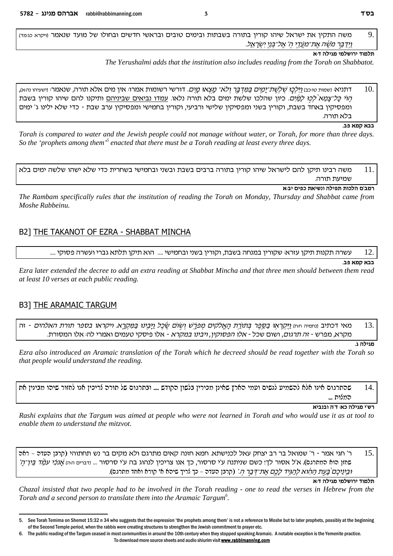משה התקין את ישראל שיהו קורין בתורה בשבתות ובימים טובים ובראשי חדשים ובחולו של מועד שנאמר וויקרא כגמד)  $\overline{Q}$ וידבר משה את־מעדי ה' אל־בני ישראל.

### תלמוד ירושלמי מגילה ד:א

The Yerushalmi adds that the institution also includes reading from the Torah on Shabbatot.

דתניא: ושמות טוּכּב) *וַיַּלְכָו שְׁלְשֶׁת־יָמְיֶם בַּמְדְבָר וְלֹא־ מָצְאוּ מַיִּם.* דורשי רשומות אמרו: אין מים אלא תורה, שנאמר: וישעיהו נהא), 10. *הוי כל־צמא`לכו למים.* כיון שהלכו שלשת ימים בלא תורה נלאו. עמדו נביאים שביניהם ותיקנו להם שיהו קורין בשבת ומפסיקין באחד בשבת, וקורין בשני ומפסיקין שלישי ורביעי, וקורין בחמישי ומפסיקין ערב שבת - כדי שלא ילינו ג' ימים בלא תורה.

בבא קמא פב.

Torah is compared to water and the Jewish people could not manage without water, or Torah, for more than three days. So the 'prophets among them'<sup>5</sup> enacted that there must be a Torah reading at least every three days.

משה רבינו תיקן להם לישראל שיהו קורין בתורה ברבים בשבת ובשני ובחמישי בשחרית כדי שלא ישהו שלשה ימים בלא 11. שמיעת תורה.

רמב'ם הלכות תפילה ונשיאת כפים יב:א

The Rambam specifically rules that the institution of reading the Torah on Monday, Thursday and Shabbat came from Moshe Rabbeinu.

### B2] THE TAKANOT OF EZRA - SHABBAT MINCHA

עשרה תקנות תיקן עזרא: שקורין במנחה בשבת, וקורין בשני ובחמישי ..... הוא תיקן תלתא גברי ועשרה פסוקי ....  $12$ 

#### בבא קמא פב.

Ezra later extended the decree to add an extra reading at Shabbat Mincha and that three men should between them read at least 10 verses at each public reading.

### **B3] THE ARAMAIC TARGUM**

6.

מאי דכתיב <sub>(</sub>נחמיה חוז) <u>ויקראו בספר בתורת האלקים מפרש ושום שכל ויבינו במקר</u>א. ויקראו בספר תורת האלהים - זה 13. מקרא, מפרש - ז*ה תרגום*, ושום שכל - *אלו הפסוקין, ויבינו במקרא* - אלו פיסקי טעמים ואמרי לה: אלו המסורת.

מגילה ג.

Ezra also introduced an Aramaic translation of the Torah which he decreed should be read together with the Torah so that people would understand the reading.

שהתרגום אינו אלא להשמיע לנשים ועמי הארץ שאינן מכירין בלשון הקודש .... ובתרגום של תורה לריכין אנו לחזור שיהו מבינין את  $14$ המלות ...

#### רש'י מגילה כא: ד'ה ובנביא

Rashi explains that the Targum was aimed at people who were not learned in Torah and who would use it as at tool to enable them to understand the mitzvot.

ר' חגי אמר - ר' שמואל בר רב יצחק עאל לכנישתא. חמא חזנה קאים מתרגם ולא מקים בר נש תחתוהי (קרנן סעדס - ראס  $15$ םחזן כות כמתכגס). א'ל אסור לך! כשם שניתנה ע'י סרסור, כך אנו צריכין לנהוג בה ע'י סרסור ... <sub>(דברים היה)</sub> *אֲנכִי עמֲד בֱין־הַ'* וּבֵינֵיכֵם *בֵּעֵת הַהָוֹא לִהַגְּיִד לָכֵחֲ אֶת־דִּבֵּר הְ*' (קרבן כעדה - כך נֿריך שיהא א' קורא ואחד מסרגם).

תלמוד ירושלמי מגילה ד:א

Chazal insisted that two people had to be involved in the Torah reading - one to read the verses in Hebrew from the Torah and a second person to translate them into the Aramaic Targum<sup>6</sup>.

To download more source sheets and audio shiurim visit www.rabbimanning.com

 $\overline{\mathbf{z}}$ 

 $\overline{a}$ See Torah Temima on Shemot 15:32 n 34 who suggests that the expression 'the prophets among them' is not a reference to Moshe but to later prophets, possibly at the beginning of the Second Temple period, when the rabbis were creating structures to strengthen the Jewish commitment to prayer etc.

The public reading of the Targum ceased in most communities in around the 10th century when they stopped speaking Aramaic. A notable exception is the Yemenite practice.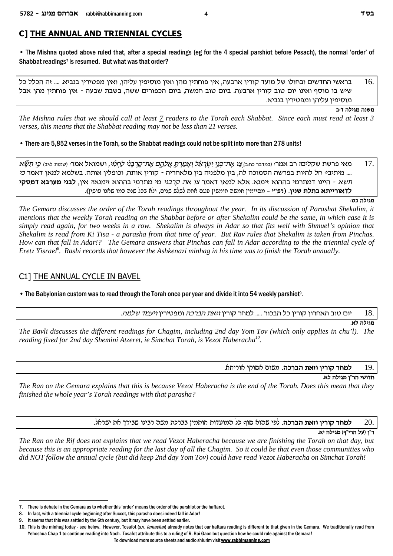# C] THE ANNUAL AND TRIENNIAL CYCLES

• The Mishna quoted above ruled that, after a special readings (eg for the 4 special parshiot before Pesach), the normal 'order' of Shabbat readings<sup>7</sup> is resumed. But what was that order?

16. בראשי החדשים ובחולו של מועד קורין ארבעה, אין פוחתין מהן ואין מוסיפין עליהן, ואין מפטירין בנביא. .... זה הכלל כל שיש בו מוסף ואינו יום טוב קורין ארבעה. ביום טוב חמשה, ביום הכפורים ששה, בשבת שבעה - אין פוחתין מהן אבל מוסיפין עליהן ומפטירין בנביא.

משנה מגילה דּ≔ב

The Mishna rules that we should call at least 7 readers to the Torah each Shabbat. Since each must read at least 3 verses, this means that the Shabbat reading may not be less than 21 verses.

• There are 5,852 verses in the Torah, so the Shabbat readings could not be split into more than 278 units!

מאי פרשת שקליםי רב אמר: ובמדבר כחב) *צו את־בְּנֵי יְשֹרַאֶל וְאַמַרְתָּ אֲלָהֶם אֶת־קַרְבָּנִי לַחְמִי,* ושמואל אמר: ושמות ליב) *כֵּי תִשֶּׁא* 17. .... מיתיבי חל להיות בפרשה הסמוכה לה, בין מלפניה בין מלאחריה - קורין אותה, וכופלין אותה. בשלמא למאן דאמר *כי* <u>תשא - היינו דמתרמי בההוא זימנא. אלא למאן דאמר צו א*ת קרבני* מי מתרמי בההוא זימנא!' אין, **לבני מערבא דמסקי**</u> לדאורייתא בתלת שניו. (רש"י – מסיימיו חמשה חומשיו פעם אחת לשלש שנים. ולא בכל שנה כמו שאנו עושיו).

מגילה כט:

The Gemara discusses the order of the Torah readings throughout the year. In its discussion of Parashat Shekalim, it mentions that the weekly Torah reading on the Shabbat before or after Shekalim could be the same, in which case it is simply read again, for two weeks in a row. Shekalim is always in Adar so that fits well with Shmuel's opinion that Shekalim is read from Ki Tisa - a parasha from that time of year. But Ray rules that Shekalim is taken from Pinchas. How can that fall in Adar!? The Gemara answers that Pinchas can fall in Adar according to the the triennial cycle of Eretz Yisrael<sup>8</sup>. Rashi records that however the Ashkenazi minhag in his time was to finish the Torah annually.

## C1] THE ANNUAL CYCLE IN BAVEL

• The Babylonian custom was to read through the Torah once per year and divide it into 54 weekly parshiot<sup>9</sup>.

18. יום טוב האחרון קורין כל הבכור ..... למחר קורין *וזאת הברכה* ומפטירין *ויעמד שלמה*.

מגילה לא.

The Bayli discusses the different readings for Chagim, including 2nd day Yom Toy (which only applies in chu'l). The reading fixed for 2nd day Shemini Atzeret, ie Simchat Torah, is Vezot Haberacha<sup>10</sup>.

> למחר קורין וזאת הברכה. משום אסוקי אוריתא. 19

> > חדושי הר"ן מגילה לא.

The Ran on the Gemara explains that this is because Vezot Haberacha is the end of the Torah. Does this mean that they finished the whole year's Torah readings with that parasha?

> למחר קורין וזאת הברכה. לפי שהוא סוף כל המועדות חותמין בברכת משה רבינו שבירך את ישראל. 20.

> > ר"ו (על הרי"ף) מגילה יא.

The Ran on the Rif does not explains that we read Vezot Haberacha because we are finishing the Torah on that day, but because this is an appropriate reading for the last day of all the Chagim. So it could be that even those communities who did NOT follow the annual cycle (but did keep 2nd day Yom Tov) could have read Vezot Haberacha on Simchat Torah!

To download more source sheets and audio shiurim visit www.rabbimanning.com

 $7<sub>1</sub>$ There is debate in the Gemara as to whether this 'order' means the order of the parshiot or the haftarot.

<sup>8.</sup> In fact, with a triennial cycle beginning after Succot, this parasha does indeed fall in Adar!

<sup>9.</sup> It seems that this was settled by the 6th century, but it may have been settled earlier.

<sup>10.</sup> This is the minhag today - see below. However, Tosafot (s.v. lemacha) already notes that our haftara reading is different to that given in the Gemara. We traditionally read from Yehoshua Chap 1 to continue reading into Nach. Tosafot attribute this to a ruling of R. Hai Gaon but question how he could rule against the Gemara!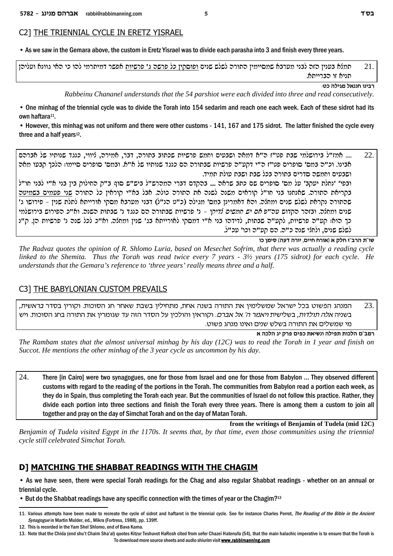### C21 THE TRIENNIAL CYCLE IN ERETZ YISRAEL

• As we saw in the Gemara above, the custom in Eretz Yisrael was to divide each parasha into 3 and finish every three years.

| - תמלא בענין הזה לבני מערבא שמסיימין התורה לשלש שנים ופוסקין כל פרשה ג' פרשיות אפשר דמיתרמי להו כי האי גוונא ועליהן |                  | 21. |
|---------------------------------------------------------------------------------------------------------------------|------------------|-----|
|                                                                                                                     | תניא זו הברייתא. |     |

רבינו חננאל מגילה כט:

Rabbeinu Chananel understands that the 54 parshiot were each divided into three and read consecutively.

• One minhag of the triennial cycle was to divide the Torah into 154 sedarim and reach one each week. Each of these sidrot had its own haftara<sup>11</sup>.

• However, this minhag was not uniform and there were other customs - 141, 167 and 175 sidrot. The latter finished the cycle every three and a half years<sup>12</sup>.

.... אמז"ל בירושלמי שבת פט"ז ה"א דמאה ושבעים וחמש פרשיות שכתוב בתורה, דבר, אמירה, ליווי, כנגד שנותיו של אברהם 22. אבינו. וכ"ה במס' סופרים פט"ז ה"י דקע"ה פרשיות שבתורה הם כנגד שנותיו של א"א. ובמס' סופרים סיימו: הלכך קבעו מאה ושבעים וחמשה סדרים בתורה בכל שבת ושבת עולת תמיד.

ובפי' 'נחלת יעהב' על מס' סופרים שם כתב שראה .... בהקדם דברי המהרש"ל ביש"ש סוף ב"ק החילוק בין בני א"י לבני חו"ל בקריאת התורה. שאנחנו בני חו"ל קוראים משנה לשנה את התורה כולה. אבל בא"י קוראין כל התורה שני פעמים בשמיטה שהתורה נקראת לשלש שנים ומחלה. והא דאמרינן במס' מגילה (כ"ט הנ"ל) דבני מערבא מסקי אורייתא לתלת שנין – פירושו ג' שנים ומחלה. ובזהר הקדוש עה"פ *אם ממשים לדיקי –* נ' פרשיות שבתורה הם כנגד נ' שבתות השנה. וא"כ הפירוש בירושלמי כך הוא: קע״ה פרשיות, לקע״ה שבתות, לדידהו בני א״י דמסקי לאורייתא בג׳ שנין ומחלה. וא״כ לכל שנה נ׳ פרשיות הן. ק״נ לשלש שנים, ולחלי שנה כ"ה. הם קע"ה וכו' עכ"ל.

שו"ת הרב"ז חלק א (אורח חיים, יורה דעה) סימן כו

The Radvaz quotes the opinion of R. Shlomo Luria, based on Mesechet Sofrim, that there was actually a reading cycle linked to the Shemita. Thus the Torah was read twice every  $7$  years -  $3\frac{1}{2}$  years (175 sidrot) for each cycle. He understands that the Gemara's reference to 'three years' really means three and a half.

### C31 THE BABYLONIAN CUSTOM PREVAILS

המנהג הפשוט בכל ישראל שמשלימין את התורה בשנה אחת, מתחילין בשבת שאחר חג הסוכות. וקורין בסדר *בראשית*, 23. בשניה *אלה תולדות*, בשלישית *ויאמר ה' אל אברם*. וקוראין והולכין על הסדר הזה עד שגומרין את התורה בחג הסוכות. ויש מי שמשלים את התורה בשלש שנים ואינו מנהג פשוט.

רמב"ם הלכות תפילה ונשיאת כפים פרק יג הלכה א

The Rambam states that the almost universal minhag by his day  $(12C)$  was to read the Torah in 1 year and finish on Succot. He mentions the other minhag of the 3 year cycle as uncommon by his day.

24. There [in Cairo] were two synagogues, one for those from Israel and one for those from Babylon ... They observed different customs with regard to the reading of the portions in the Torah. The communities from Babylon read a portion each week, as they do in Spain, thus completing the Torah each year. But the communities of Israel do not follow this practice. Rather, they divide each portion into three sections and finish the Torah every three years. There is among them a custom to join all together and pray on the day of Simchat Torah and on the day of Matan Torah.

from the writings of Benjamin of Tudela (mid 12C)

Benjamin of Tudela visited Egypt in the 1170s. It seems that, by that time, even those communities using the triennial cycle still celebrated Simchat Torah.

# DI MATCHING THE SHABBAT READINGS WITH THE CHAGIM

• As we have seen, there were special Torah readings for the Chag and also regular Shabbat readings - whether on an annual or triennial cycle.

• But do the Shabbat readings have any specific connection with the times of year or the Chagim?<sup>13</sup>

<sup>11.</sup> Various attempts have been made to recreate the cycle of sidrot and haftarot in the triennial cycle. See for instance Charles Perrot, The Reading of the Bible in the Ancient Synagogue in Martin Mulder, ed., Mikra (Fortress, 1988), pp. 139ff.

<sup>12</sup> This is recorded in the Yam Shel Shlomo end of Raya Kama

<sup>13.</sup> Note that the Chida (end shu't Chaim Sha'al) quotes Kitzur Teshuvot HaRosh cited from sefer Chazei Hatenufa (54), that the main halachic imperative is to ensure that the Torah is To download more source sheets and audio shiurim visit www.rabbimanning.com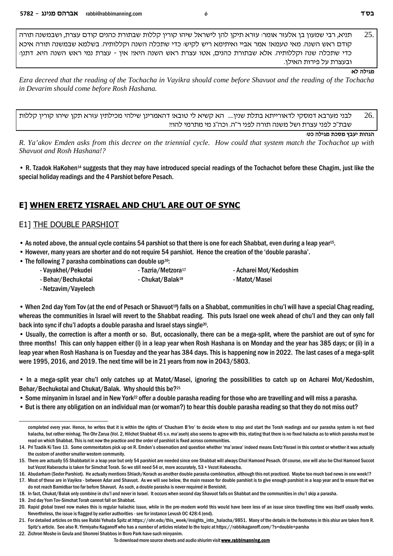$25$ תניא. רבי שמעון בן אלעזר אומר: עזרא תיקן להן לישראל שיהו קורין קללות שבתורת כהנים קודם עצרת, ושבמשנה תורה קודם ראש השנה. מאי טעמאי אמר אביי ואיתימא ריש לקיש: כדי שתכלה השנה וקללותיה. בשלמא שבמשנה תורה איכא כדי שתכלה שנה וקללותיה. אלא שבתורת כהנים, אטו עצרת ראש השנה היאיִ אין - עצרת נמי ראש השנה היא. דתנן: ובעצרת על פירות האילן.

#### מגילה לא:

Ezra decreed that the reading of the Tochacha in Vayikra should come before Shavuot and the reading of the Tochacha in Devarim should come before Rosh Hashana.

לבני מערבא דמסקי לדאורייתא בתלת שנין.... הא קשיא לי טובא! דהאמרינן שילהי מכילתין עזרא תקן שיהו קורין קללות 26. שבת"כ לפני עצרת ושל משנה תורה לפני ר"ה. וכה"ג מי מתרמי להו!!

הגהות יעבץ מסכת מגילה כט:

R. Ya'akov Emden asks from this decree on the triennial cycle. How could that system match the Tochachot up with Shavuot and Rosh Hashana!?

• R. Tzadok HaKohen<sup>14</sup> suggests that they may have introduced special readings of the Tochachot before these Chagim, just like the special holiday readings and the 4 Parshiot before Pesach.

# E] WHEN ERETZ YISRAEL AND CHU'L ARE OUT OF SYNC

## **E11 THE DOUBLE PARSHIOT**

• As noted above, the annual cycle contains 54 parshiot so that there is one for each Shabbat, even during a leap year<sup>15</sup>.

- However, many years are shorter and do not require 54 parshiot. Hence the creation of the 'double parasha'.
- The following 7 parasha combinations can double up<sup>16</sup>:
	- Vayakhel/Pekudei
- Tazria/Metzora<sup>17</sup> - Chukat/Balak<sup>18</sup>

- Acharei Mot/Kedoshim - Matot/Masei

- Behar/Bechukotai - Netzavim/Vayelech

• When 2nd day Yom Tov (at the end of Pesach or Shavuot<sup>19</sup>) falls on a Shabbat, communities in chu'l will have a special Chag reading, whereas the communities in Israel will revert to the Shabbat reading. This puts Israel one week ahead of chu'l and they can only fall back into sync if chu'l adopts a double parasha and Israel stays single<sup>20</sup>.

• Usually, the correction is after a month or so. But, occasionally, there can be a mega-split, where the parshiot are out of sync for three months! This can only happen either (i) in a leap year when Rosh Hashana is on Monday and the year has 385 days; or (ii) in a leap year when Rosh Hashana is on Tuesday and the year has 384 days. This is happening now in 2022. The last cases of a mega-split were 1995, 2016, and 2019. The next time will be in 21 years from now in 2043/5803.

• In a mega-split year chu'l only catches up at Matot/Masei, ignoring the possibilities to catch up on Acharei Mot/Kedoshim, Behar/Bechukotai and Chukat/Balak. Why should this be?<sup>21</sup>

- Some minyanim in Israel and in New York<sup>22</sup> offer a double parasha reading for those who are travelling and will miss a parasha.
- But is there any obligation on an individual man (or woman?) to hear this double parasha reading so that they do not miss out?

19. 2nd day Yom Tov-Simchat Torah cannot fall on Shabbat.

22. Zichron Moshe in Geula and Shomrei Shabbos in Boro Park have such minyanim.

6

completed every year. Hence, he writes that it is within the rights of 'Chacham B'lro' to decide where to stop and start the Torah readings and our parasha system is not fixed halacha, but rather minhag. The Ohr Zarua (Vol. 2, Hilchot Shabbat 45 s.v. ma'aseh) also seems to agree with this, stating that there is no fixed halacha as to which parasha must be read on which Shabbat. This is not now the practice and the order of parshiot is fixed across communities.

<sup>14.</sup> Pri Tzadik Ki Tavo 13. Some commentators pick up on R. Emden's observation and question whether 'ma'arava' indeed means Eretz Yisrael in this context or whether it was actually the custom of another smaller western community.

<sup>15.</sup> There are actually 55 Shabbatot in a leap year but only 54 parshiot are needed since one Shabbat will always Chol Hamoed Pesach. Of course, one will also be Chol Hamoed Succot but Vezot Haberacha is taken for Simchat Torah. So we still need 54 or, more accurately, 53 + Vezot Haberacha,

<sup>16.</sup> Abudarham (Seder Parshiot). He actually mentions Shlach/Korach as another double parasha combination, although this not practiced. Maybe too much bad news in one week!? 17. Most of these are in Vayikra - between Adar and Shavuot. As we will see below, the main reason for double parshiot is to give enough parshiot in a leap year and to ensure that we

do not reach Bamidbar too far before Shavuot. As such, a double parasha is never required in Bereishit.

<sup>18.</sup> In fact, Chukat/Balak only combine in chu'l and never in Israel. It occurs when second day Shavuot falls on Shabbat and the communities in chu'l skip a parasha.

<sup>20.</sup> Rapid global travel now makes this is regular halachic issue, while in the pre-modern world this would have been less of an issue since travelling time was itself usually weeks. Nevertheless, the issue is flagged by earlier authorities - see for instance Levush OC 428:4 (end).

<sup>21.</sup> For detailed articles on this see Rabbi Yehuda Spitz at https://ohr.edu/this\_week/insights\_into\_halacha/9851. Many of the details in the footnotes in this shiur are taken from R. Spitz's article. See also R. Yirmiyahu Kaganoff who has a number of articles related to the topic at https://rabbikaganoff.com/?s=double+parsha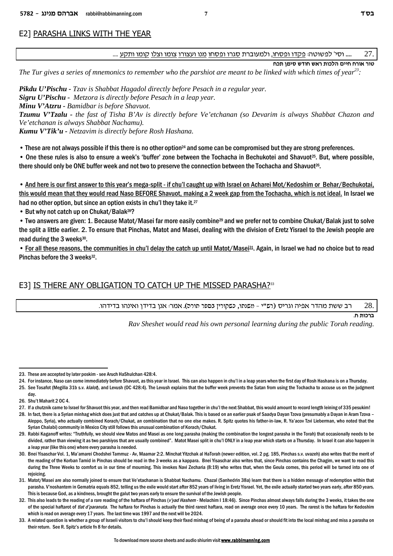### E2] PARASHA LINKS WITH THE YEAR

.... rwit che energe energe energe energe energe energy .... rwith they in Negation ... . . ... . 27 ... . . .

**gkz oniq yceg y`x zekld miig gxe` xeh**

*The Tur gives a series of mnemonics to remember who the parshiot are meant to be linked with which times of year<sup>23</sup> :*

*Pikdu U'Pischu - Tzav is Shabbat Hagadol directly before Pesach in a regular year.*

*Sigru U'Pischu - Metzora is directly before Pesach in a leap year.*

*Minu V'Atzru - Bamidbar is before Shavuot.*

*Tzumu V'Tzalu - the fast of Tisha B'Av is directly before Ve'etchanan (so Devarim is always Shabbat Chazon and Ve'etchanan is always Shabbat Nachamu).*

*Kumu V'Tik'u - Netzavim is directly before Rosh Hashana.*

• These are not always possible if this there is no other option<sup>24</sup> and some can be compromised but they are strong preferences.

• One these rules is also to ensure a week's 'buffer' zone between the Tochacha in Bechukotei and Shavuot25. But, where possible, there should only be ONE buffer week and not two to preserve the connection between the Tochacha and Shavuot<sup>26</sup>.

• And here is our first answer to this year's mega-split - if chu'l caught up with Israel on Acharei Mot/Kedoshim or Behar/Bechukotai, this would mean that they would read Naso BEFORE Shavuot, making a 2 week gap from the Tochacha, which is not ideal. In Israel we had no other option, but since an option exists in chu'l they take it.<sup>27</sup>

• But why not catch up on Chukat/Balak28?

• Two answers are given: 1. Because Matot/Masei far more easily combine29 and we prefer not to combine Chukat/Balak just to solve the split a little earlier. 2. To ensure that Pinchas, Matot and Masei, dealing with the division of Eretz Yisrael to the Jewish people are read during the 3 weeks<sup>30</sup>.

• For all these reasons, the communities in chu'l delay the catch up until Matot/Masei<sup>31</sup>. Again, in Israel we had no choice but to read Pinchas before the 3 weeks<sup>32</sup>.

### E3] IS THERE ANY OBLIGATION TO CATCH UP THE MISSED PARASHA?<sup>33</sup>

רב ששת מהדר אפיה וגריס (רפ"י - מפוסו, כפקורין בספר סורס). אמר: אנן בדידן ואינהו בדידהו.  $28. \,$ 

**ברכות ח.** 

*Rav Sheshet would read his own personal learning during the public Torah reading.*

24. For instance, Naso can come immediately before Shavuot, as this year in Israel. This can also happen in chu'l in a leap years when the first day of Rosh Hashana is on a Thursday.

<sup>23.</sup> These are accepted by later poskim - see Aruch HaShulchan 428:4.

<sup>25.</sup> See Tosafot (Megilla 31b s.v. *klalot*), and Levush (OC 428:4). The Levush explains that the buffer week prevents the Satan from using the Tochacha to accuse us on the judgment day.

<sup>26.</sup> Shu't Maharit 2 OC 4.

<sup>27.</sup> If a chutznik came to Israel for Shavuot this year, and then read Bamidbar and Naso together in chu'l the next Shabbat, this would amount to record length leining of 335 pesukim!

<sup>28.</sup> In fact, there is a Syrian minhag which does just that and catches up at Chukat/Balak. This is based on an earlier psak of Saadya Dayan Tzova (presumably a Dayan in Aram Tzova – Aleppo, Syria), who actually combined Korach/Chukat, an combination that no one else makes. R. Spitz quotes his father-in-law, R. Ya'acov Tzvi Lieberman, who noted that the Syrian Chalabi) community in Mexico City still follows this unusual combination of Korach/Chukat.

<sup>29.</sup> Rabbi Kaganoff writes: "Truthfully, we should view Matos and Masei as one long parasha (making the combination the longest parasha in the Torah) that occasionally needs to be divided, rather than viewing it as two parshiyos that are usually combined". Matot Masei split in chu'l ONLY in a leap year which starts on a Thursday. In Israel it can also happen in a leap year (like this one) where every parasha is needed.

<sup>30.</sup> Bnei Yisaschar Vol. 1, Ma'amarei Chodshei Tammuz - Av, Maamar 2:2. Minchat Yitzchak al HaTorah (newer edition, vol. 2 pg. 185, Pinchas s.v. uvazeh) also writes that the merit of the reading of the Korban Tamid in Pinchas should be read in the 3 weeks as a kappara. Bnei Yisaschar also writes that, since Pinchas contains the Chagim, we want to read this during the Three Weeks to comfort us in our time of mourning. This invokes Navi Zecharia (8:19) who writes that, when the Geula comes, this period will be turned into one of rejoicing.

<sup>31.</sup> Matot/Masei are also normally joined to ensure that Ve'etachanan is Shabbat Nachamu. Chazal (Sanhedrin 38a) learn that there is a hidden message of redemption within that parasha. V'noshantem in Gematria equals 852, telling us the exile would start after 852 years of living in Eretz Yisrael. Yet, the exile actually started two years early, after 850 years. This is because God, as a kindness, brought the galut two years early to ensure the survival of the Jewish people.

<sup>32.</sup> This also leads to the reading of a rare reading of the haftara of Pinchas (*v'yad Hashem* - Melachim I 18:46). Since Pinchas almost always falls during the 3 weeks, it takes the one of the special haftarot of *tlat d'paranuta*. The haftara for Pinchas is actually the third rarest haftara, read on average once every 10 years. The rarest is the haftara for Kedoshim which is read on average every 17 years. The last time was 1997 and the next will be 2024.

<sup>33.</sup> A related question is whether a group of Israeli visitors to chu'l should keep their fixed minhag of being of a parasha ahead or should fit into the local minhag and miss a parasha on their return. See R. Spitz's article fn 8 for details.